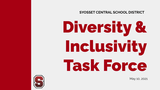**SYOSSET CENTRAL SCHOOL DISTRICT**

Diversity & Inclusivity Task Force

May 10, 2021

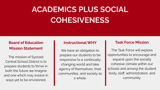# **ACADEMICS PLUS SOCIAL COHESIVENESS**

# **Board of Education Mission Statement** We have an obligation to

The mission of Syosset Central School District is to prepare students to thrive in both the future we imagine and one which may evolve in ways yet to be envisioned.

### **Instructional WHY**

prepare our students to be responsive to a continually changing world and take agency of themselves, their communities, and society as a whole.

### **Task Force Mission**

The Task Force will explore opportunities to encourage and expand upon the socially cohesive climate within our schools and among the student body, staff, administration, and community.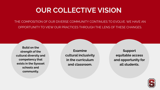# **OUR COLLECTIVE VISION**

THE COMPOSITION OF OUR DIVERSE COMMUNITY CONTINUES TO EVOLVE. WE HAVE AN OPPORTUNITY TO VIEW OUR PRACTICES THROUGH THE LENS OF THESE CHANGES.

**Build on the strength of the cultural diversity and competency that exists in the Syosset schools and community.**

**Examine cultural inclusivity in the curriculum and classroom.**

**Support equitable access and opportunity for all students.**

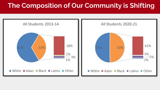# **The Composition of Our Community is Shifting**

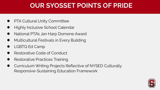# **OUR SYOSSET POINTS OF PRIDE**

- **PTA Cultural Unity Committee**
- **Highly Inclusive School Calendar**
- National PTA's Jan Harp Domene Award
- **Multicultural Festivals in Every Building**
- LGBTQ Ed Camp
- Restorative Code of Conduct
- Restorative Practices Training
- Curriculum Writing Projects Reflective of NYSED Culturally Responsive-Sustaining Education Framework

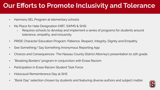# **Our Efforts to Promote Inclusivity and Tolerance**

- Harmony SEL Program at elementary schools
- No Place for Hate Designation (HBT, SWMS & SHS)
	- Requires schools to develop and implement a series of programs for students around tolerance, empathy, and inclusivity.
- PRIDE Character Education Program: Patience, Respect, Integrity, Dignity and Empathy.
- See Something/ Say Something Anonymous Reporting App
- Choices and Consequences- The Nassau County District Attorney's presentation to 11th grade.
- "Breaking Borders" program in conjunction with Erase Racism
- Participation in Erase Racism Student Task Force
- Holocaust Remembrance Day at SHS
- "Book Day" selection chosen by students and featuring diverse authors and subject matter.

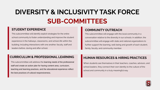# **DIVERSITY & INCLUSIVITY TASK FORCE SUB-COMMITTEES**

#### **STUDENT EXPERIENCE**

This subcommittee will identify explicit strategies for the entire school community to foster understanding and improve the student experience in the hallways, classrooms, and school-life within the building; including interactions with one another, faculty, staff and leaders before, during and after school.

#### **COMMUNITY OUTREACH**

This subcommittee will engage with the local community in a conversation relative to the diversity in our schools. In addition, the subcommittee will engage with state and national organizations to further support the learning, well-being and growth of each student, family, faculty, and community member.

#### **CURRICULUM & PROFESSIONAL LEARNING**

This subcommittee will address the learning needs of the professional staff and create an action plan for having content area, curriculum, teaching and learning practices, and the educational experience reflect the best practices of cultural responsiveness.

### **HUMAN RESOURCES & HIRING PRACTICES**

When students see themselves in their teachers, coaches, advisors, and school leaders, they connect their own identity to the culture of the school and community in a truly meaningful way.

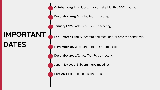**IMPORTANT DATES**

**October 2019**: Introduced the work at a Monthly BOE meeting

**December 2019**: Planning team meetings

**January 2020**: Task Force Kick-Off Meeting

**Feb. - March 2020**: Subcommittee meetings (prior to the pandemic)

**November 2020**: Restarted the Task Force work

**December 2020**: Whole Task Force meeting

**Jan. - May 2020**: Subcommittee meetings

**May 2021**: Board of Education Update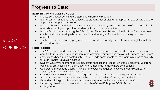### **Progress to Date:**

#### **ELEMENTARY/MIDDLE SCHOOL:**

- Middle School Advisory and the Elementary Harmony Program.
- Elementary MTSS teams have reviewed all students not officially in ENL programs to ensure that the appropriate support is provided.
- Middle schools hosted author Kwame Alexander, a Newbery winner and person of color for a virtual meet about writing and provided students with a unique perspective.
- Middle School clubs, including the GSA, Mosaic, Thompson Pride and Multicultural Club have been created and have developed connections for a wide range of students of all backgrounds and orientations.
- The Middle School advisory programs have focused on diversity and inclusivity through the activities designed for students.

#### **HIGH SCHOOL:**

- The "Voices Amplified Committee", part of Student Government, continues to drive conversation about culturally responsive education/programming, literature, and the overall "student experience."
- Advisory has been implemented at SHS and will add components to the program related to diversity through Physical Education classes.
- Student Government amended its club/group application process to include representatives from each club/group joining Student Government meetings to make more connections.
- Celebrating the College Board AP Award for diversity and gender balance in our AP Computer Science, as well as our Coding classes.
- Connections made between sports programs in the fall through joint/merged team workouts.
- Students Combating Corona survey on the "student experience" during the pandemic.
- Expanding club/group lists related to culturally specific topics i.e. Matters of the World.
- Increasing diversity in courses and clubs such as Virtual Enterprise, DECA, PAL, and coding/robotics..



# STUDENT EXPERIENCE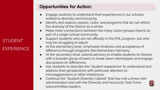# **STUDENT EXPERIENCE**

## **Opportunities for Action:**

- Engage students to understand their experiences in our schools related to diversity and inclusivity.
- Identify and explore classes, clubs, and programs that do not reflect the diversity of the District as a whole.
- Make more connections between the many clubs/groups/teams as part of a single school community.
- Support students who are not officially in the ENL program, but who may be struggling to adjust.
- At the elementary level, emphasize kindness and acceptance of difference through programs like Elementary Harmony.
- At the secondary level, extend advisory to enable students to interact with a broader group of peers to break down stereotypes and engage discussions on differences.
- Ask students to describe the "student experience" to understand and address their perspectives with particular attention to microaggressions or other intolerance.
- Continue the "Student Diversity Cabinet" that has met 4 times with administration and with the Diversity and Inclusivity Task Force subcommittee leaders.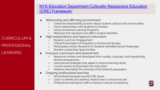### [NYS Education Department Culturally Responsive Education](http://www.nysed.gov/common/nysed/files/programs/crs/culturally-responsive-sustaining-education-framework.pdf) [\(CRE\) Framework:](http://www.nysed.gov/common/nysed/files/programs/crs/culturally-responsive-sustaining-education-framework.pdf)

- Welcoming and affirming environment
	- Collective responsibility to learn about student cultures and communities
	- Close relationships with Students & Families.
	- Social-Emotional Learning Programs
	- Materials that represent and affirm student identities
- High expectations and rigorous instruction
	- Student-Led Civic Engagement
	- Critical Examination of Inequities in School and Society
	- Participatory Action Research on Student-Identified Social Challenges
	- Student Leadership Opportunities
	- Inclusive curriculum and assessment
		- Resources written and developed from racially, culturally, and linguistically diverse perspectives.
		- Instructional strategies that adapt to diverse learning styles
		- Current events incorporated into instruction
		- Histories that reflect the diversity of the District's population
- Ongoing professional learning
	- Set professional goals around CRE issues
	- Learn to identify and address implicit bias in school and self
	- Professional training for staff to improve cultural competency

CURRICULUM & PROFESSIONAL LEARNING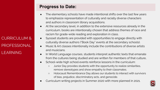CURRICULUM & PROFESSIONAL LEARNING

# **Progress to Date:**

- The elementary schools have made intentional shifts over the last few years to emphasize representation of culturally and racially diverse characters and authors in classroom library acquisitions.
- At the secondary level, in addition to the extensive resources already in the curriculum, books are intentionally chosen that address themes of race and racism for grade-wide reading and exploration in class.
- Syosset students are provided with opportunities to engage directly with culturally diverse authors ("Book Day" events at the secondary schools).
- Music & Art classes intentionally include the contributions of diverse artists and musicians.
- In World Language courses, students interpret authentic texts that emanate from the cultures being studied and are written for members of that culture,
- School-wide high school events reinforce lessons in the curriculum:
	- Junior Day provides students with the opportunity to realize similarities, remove stereotypes and show empathy to their classmates.
	- Holocaust Remembrance Day allows our students to interact with survivors of bias, prejudice, discriminatory acts, and genocide.
- Curriculum writing projects in Summer 2020 with more planned in 2021.

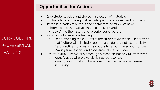# **Opportunities for Action:**

- Give students voice and choice in selection of materials.
- Continue to promote equitable participation in courses and programs.
- Increase breadth of authors and characters, so students have "mirrors" to see themselves in the curriculum and "windows" into the history and experiences of others.
- Provide staff awareness training:
	- Understanding the cultures of the students we teach understand that "culture" also includes gender and identity, not just ethnicity
	- Best practices for creating a culturally responsive school culture.
	- Making sure lessons and assessments are inclusive
- Review curriculum materials through a research-based CRE framework
	- Identify gaps where diversity is not represented
	- Identify opportunities where curriculum can reinforce themes of inclusivity.



CURRICULUM & PROFESSIONAL LEARNING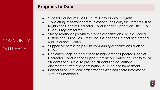# **COMMUNITY OUTREACH**

### **Progress to Date:**

- Syosset Council of PTAs' Cultural Unity Buddy Program.
- Translating important communications, including the Parents Bill of Rights, the Code of Character, Conduct and Support, and the PTA Buddy Program forms.
- Strong relationships with tolerance organizations like the Facing History and Ourselves, Erase Racism, and the Holocaust Memorial and Tolerance Center.
- Supportive partnerships with community organizations such as CAAS
- Dedicated page of the website to highlight the updated Code of Character, Conduct and Support that incorporates the Dignity for All Students Act (DASA) to provide students an educational environment free of discrimination, bullying and harassment.
- Partnerships with local organizations who can share information with their members.

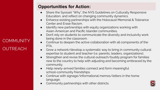# **COMMUNITY OUTREACH**

## **Opportunities for Action:**

- Share the Syosset "Why", the NYS Guidelines on Culturally Responsive Education, and reflect on changing community dynamics.
- Enhance existing partnerships with the Holocaust Memorial & Tolerance Center and Erase Racism.
- Identify new partnerships with equity organizations working with Asian-American and Pacific Islander communities.
- Don't rely on students to communicate the diversity and inclusivity work being done in the classroom.
- Continue to deepen the active collaboration with all components of the PTA.
- Grow a network/develop a systematic way to bring in community cultural expertise to student and teacher (i.e. parents, leaders, organizations).
- Strengthen and revise the cultural outreach/buddy program for families new to the country to help with adjusting and becoming embraced by the community.
- Help newly-arrived families connect and form meaningful school-community friendships.
- Continue with signage/informational memos/letters in the home language.
- Community partnerships with other districts.

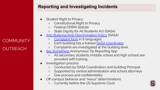## **Reporting and Investigating Incidents**

- **Student Right to Privacy** 
	- Constitutional Right to Privacy
	- Federal FERPA Statute
	- State Dignity for All Students Act (DASA)
- [Anti-Bullying/Anti-Discrimination Policy](https://www.syossetschools.org/domain/133) (DASA)
	- o [Complaint form](https://www.syossetschools.org/domain/133) in 6 languages
	- Each building has a trained [DASA coordinator](https://www.syossetschools.org/Page/367)
	- Complaints are investigated at the building level
- [Say Something](https://www.saysomething.net/) Anonymous Tip Reporting App
	- All secondary students (middle school and high school) are provided with training
- Investigation process

**COMMUNITY** 

**OUTREACH** 

- Conducted by DASA Coordinators and building Principal
- Supported by central administration and school attorneys
- Due process and confidentiality
- Off-campus behavior and "nexus" determinations
	- Currently before the US Supreme Court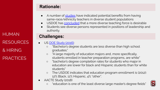HUMAN RESOURCES & HIRING **PRACTICES** 

## **Rationale:**

- A number of [studies](https://journalistsresource.org/studies/society/education/minority-teachers-students-same-race-research) have indicated potential benefits from having same-race/ethnicity teachers in diverse student populations
- USDOE has [concluded](https://www2.ed.gov/rschstat/eval/highered/racial-diversity/state-racial-diversity-workforce.pdf) that a more diverse teaching force is desirable
- Students see diverse persons represented in positions of leadership and authority.

# **Challenges:**

- US [DOE Study \(2016\):](https://www2.ed.gov/rschstat/eval/highered/racial-diversity/state-racial-diversity-workforce.pdf)
	- "Bachelor's degree students are less diverse than high school graduates."
	- "A large majority of education majors and, more specifically, students enrolled in teacher preparation programs, are white"
	- "bachelor's degree completion rates for students who major in education are lower for black and Hispanic students than for white students"
	- The USDOE indicates that education program enrollment is (2012): 12% Black, 11% Hispanic, 4% "other".
- AACTE Study (2018)
	- o "education is one of the least diverse large master's degree fields"